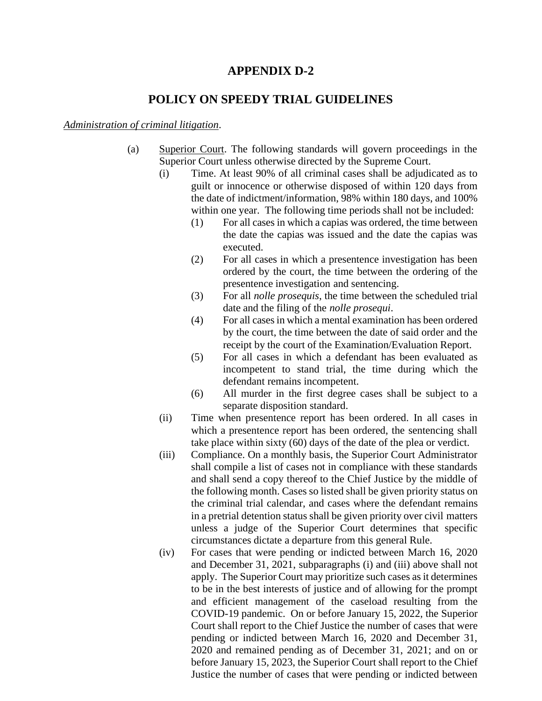## **APPENDIX D-2**

## **POLICY ON SPEEDY TRIAL GUIDELINES**

## *Administration of criminal litigation*.

- (a) Superior Court. The following standards will govern proceedings in the Superior Court unless otherwise directed by the Supreme Court.
	- (i) Time. At least 90% of all criminal cases shall be adjudicated as to guilt or innocence or otherwise disposed of within 120 days from the date of indictment/information, 98% within 180 days, and 100% within one year. The following time periods shall not be included:
		- (1) For all cases in which a capias was ordered, the time between the date the capias was issued and the date the capias was executed.
		- (2) For all cases in which a presentence investigation has been ordered by the court, the time between the ordering of the presentence investigation and sentencing.
		- (3) For all *nolle prosequis*, the time between the scheduled trial date and the filing of the *nolle prosequi*.
		- (4) For all casesin which a mental examination has been ordered by the court, the time between the date of said order and the receipt by the court of the Examination/Evaluation Report.
		- (5) For all cases in which a defendant has been evaluated as incompetent to stand trial, the time during which the defendant remains incompetent.
		- (6) All murder in the first degree cases shall be subject to a separate disposition standard.
	- (ii) Time when presentence report has been ordered. In all cases in which a presentence report has been ordered, the sentencing shall take place within sixty (60) days of the date of the plea or verdict.
	- (iii) Compliance. On a monthly basis, the Superior Court Administrator shall compile a list of cases not in compliance with these standards and shall send a copy thereof to the Chief Justice by the middle of the following month. Cases so listed shall be given priority status on the criminal trial calendar, and cases where the defendant remains in a pretrial detention status shall be given priority over civil matters unless a judge of the Superior Court determines that specific circumstances dictate a departure from this general Rule.
	- (iv) For cases that were pending or indicted between March 16, 2020 and December 31, 2021, subparagraphs (i) and (iii) above shall not apply. The Superior Court may prioritize such cases as it determines to be in the best interests of justice and of allowing for the prompt and efficient management of the caseload resulting from the COVID-19 pandemic. On or before January 15, 2022, the Superior Court shall report to the Chief Justice the number of cases that were pending or indicted between March 16, 2020 and December 31, 2020 and remained pending as of December 31, 2021; and on or before January 15, 2023, the Superior Court shall report to the Chief Justice the number of cases that were pending or indicted between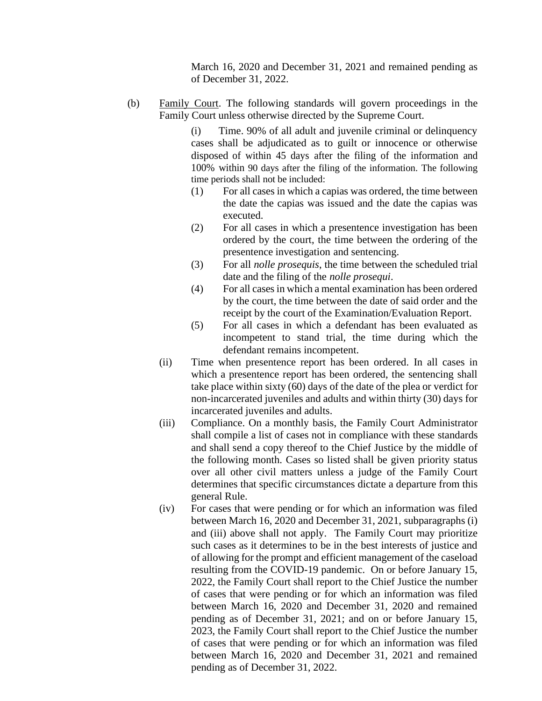March 16, 2020 and December 31, 2021 and remained pending as of December 31, 2022.

(b) Family Court. The following standards will govern proceedings in the Family Court unless otherwise directed by the Supreme Court.

> (i) Time. 90% of all adult and juvenile criminal or delinquency cases shall be adjudicated as to guilt or innocence or otherwise disposed of within 45 days after the filing of the information and 100% within 90 days after the filing of the information. The following time periods shall not be included:

- (1) For all cases in which a capias was ordered, the time between the date the capias was issued and the date the capias was executed.
- (2) For all cases in which a presentence investigation has been ordered by the court, the time between the ordering of the presentence investigation and sentencing.
- (3) For all *nolle prosequis*, the time between the scheduled trial date and the filing of the *nolle prosequi*.
- (4) For all casesin which a mental examination has been ordered by the court, the time between the date of said order and the receipt by the court of the Examination/Evaluation Report.
- (5) For all cases in which a defendant has been evaluated as incompetent to stand trial, the time during which the defendant remains incompetent.
- (ii) Time when presentence report has been ordered. In all cases in which a presentence report has been ordered, the sentencing shall take place within sixty (60) days of the date of the plea or verdict for non-incarcerated juveniles and adults and within thirty (30) days for incarcerated juveniles and adults.
- (iii) Compliance. On a monthly basis, the Family Court Administrator shall compile a list of cases not in compliance with these standards and shall send a copy thereof to the Chief Justice by the middle of the following month. Cases so listed shall be given priority status over all other civil matters unless a judge of the Family Court determines that specific circumstances dictate a departure from this general Rule.
- (iv) For cases that were pending or for which an information was filed between March 16, 2020 and December 31, 2021, subparagraphs (i) and (iii) above shall not apply. The Family Court may prioritize such cases as it determines to be in the best interests of justice and of allowing for the prompt and efficient management of the caseload resulting from the COVID-19 pandemic. On or before January 15, 2022, the Family Court shall report to the Chief Justice the number of cases that were pending or for which an information was filed between March 16, 2020 and December 31, 2020 and remained pending as of December 31, 2021; and on or before January 15, 2023, the Family Court shall report to the Chief Justice the number of cases that were pending or for which an information was filed between March 16, 2020 and December 31, 2021 and remained pending as of December 31, 2022.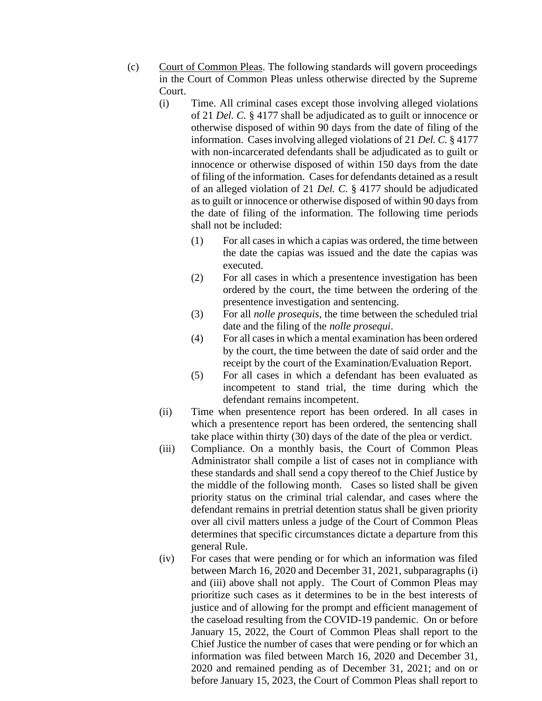- (c) Court of Common Pleas. The following standards will govern proceedings in the Court of Common Pleas unless otherwise directed by the Supreme Court.
	- (i) Time. All criminal cases except those involving alleged violations of 21 *Del. C.* § 4177 shall be adjudicated as to guilt or innocence or otherwise disposed of within 90 days from the date of filing of the information. Casesinvolving alleged violations of 21 *Del. C.* § 4177 with non-incarcerated defendants shall be adjudicated as to guilt or innocence or otherwise disposed of within 150 days from the date of filing of the information. Cases for defendants detained as a result of an alleged violation of 21 *Del. C.* § 4177 should be adjudicated as to guilt or innocence or otherwise disposed of within 90 days from the date of filing of the information. The following time periods shall not be included:
		- (1) For all cases in which a capias was ordered, the time between the date the capias was issued and the date the capias was executed.
		- (2) For all cases in which a presentence investigation has been ordered by the court, the time between the ordering of the presentence investigation and sentencing.
		- (3) For all *nolle prosequis*, the time between the scheduled trial date and the filing of the *nolle prosequi*.
		- (4) For all casesin which a mental examination has been ordered by the court, the time between the date of said order and the receipt by the court of the Examination/Evaluation Report.
		- (5) For all cases in which a defendant has been evaluated as incompetent to stand trial, the time during which the defendant remains incompetent.
	- (ii) Time when presentence report has been ordered. In all cases in which a presentence report has been ordered, the sentencing shall take place within thirty (30) days of the date of the plea or verdict.
	- (iii) Compliance. On a monthly basis, the Court of Common Pleas Administrator shall compile a list of cases not in compliance with these standards and shall send a copy thereof to the Chief Justice by the middle of the following month. Cases so listed shall be given priority status on the criminal trial calendar, and cases where the defendant remains in pretrial detention status shall be given priority over all civil matters unless a judge of the Court of Common Pleas determines that specific circumstances dictate a departure from this general Rule.
	- (iv) For cases that were pending or for which an information was filed between March 16, 2020 and December 31, 2021, subparagraphs (i) and (iii) above shall not apply. The Court of Common Pleas may prioritize such cases as it determines to be in the best interests of justice and of allowing for the prompt and efficient management of the caseload resulting from the COVID-19 pandemic. On or before January 15, 2022, the Court of Common Pleas shall report to the Chief Justice the number of cases that were pending or for which an information was filed between March 16, 2020 and December 31, 2020 and remained pending as of December 31, 2021; and on or before January 15, 2023, the Court of Common Pleas shall report to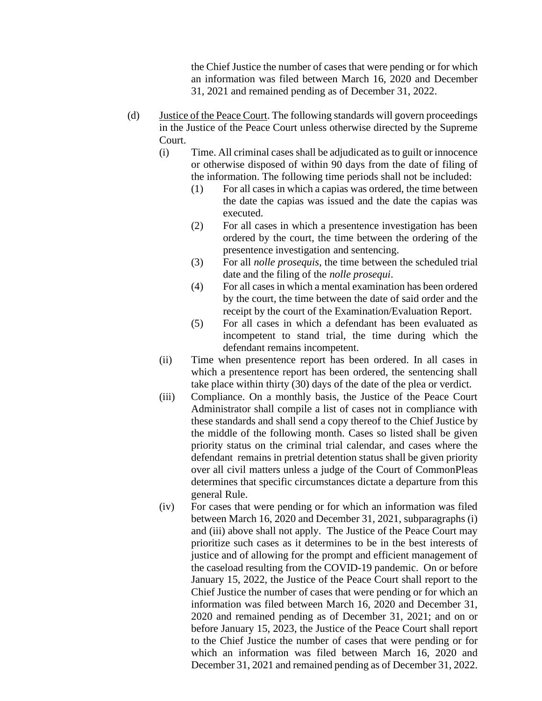the Chief Justice the number of cases that were pending or for which an information was filed between March 16, 2020 and December 31, 2021 and remained pending as of December 31, 2022.

- (d) Justice of the Peace Court. The following standards will govern proceedings in the Justice of the Peace Court unless otherwise directed by the Supreme Court.
	- (i) Time. All criminal cases shall be adjudicated asto guilt or innocence or otherwise disposed of within 90 days from the date of filing of the information. The following time periods shall not be included:
		- (1) For all cases in which a capias was ordered, the time between the date the capias was issued and the date the capias was executed.
		- (2) For all cases in which a presentence investigation has been ordered by the court, the time between the ordering of the presentence investigation and sentencing.
		- (3) For all *nolle prosequis*, the time between the scheduled trial date and the filing of the *nolle prosequi*.
		- (4) For all casesin which a mental examination has been ordered by the court, the time between the date of said order and the receipt by the court of the Examination/Evaluation Report.
		- (5) For all cases in which a defendant has been evaluated as incompetent to stand trial, the time during which the defendant remains incompetent.
	- (ii) Time when presentence report has been ordered. In all cases in which a presentence report has been ordered, the sentencing shall take place within thirty (30) days of the date of the plea or verdict.
	- (iii) Compliance. On a monthly basis, the Justice of the Peace Court Administrator shall compile a list of cases not in compliance with these standards and shall send a copy thereof to the Chief Justice by the middle of the following month. Cases so listed shall be given priority status on the criminal trial calendar, and cases where the defendant remains in pretrial detention status shall be given priority over all civil matters unless a judge of the Court of CommonPleas determines that specific circumstances dictate a departure from this general Rule.
	- (iv) For cases that were pending or for which an information was filed between March 16, 2020 and December 31, 2021, subparagraphs (i) and (iii) above shall not apply. The Justice of the Peace Court may prioritize such cases as it determines to be in the best interests of justice and of allowing for the prompt and efficient management of the caseload resulting from the COVID-19 pandemic. On or before January 15, 2022, the Justice of the Peace Court shall report to the Chief Justice the number of cases that were pending or for which an information was filed between March 16, 2020 and December 31, 2020 and remained pending as of December 31, 2021; and on or before January 15, 2023, the Justice of the Peace Court shall report to the Chief Justice the number of cases that were pending or for which an information was filed between March 16, 2020 and December 31, 2021 and remained pending as of December 31, 2022.